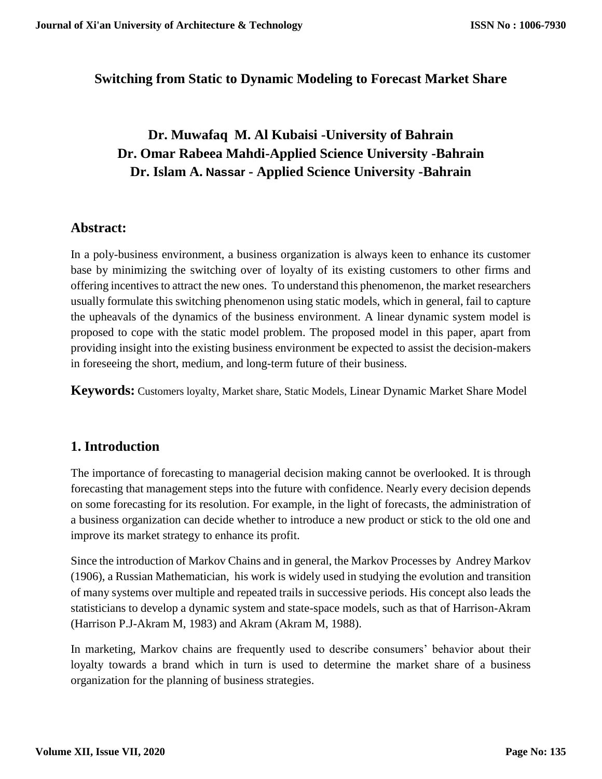### **Switching from Static to Dynamic Modeling to Forecast Market Share**

# **Dr. Muwafaq M. Al Kubaisi -University of Bahrain Dr. Omar Rabeea Mahdi-Applied Science University -Bahrain Dr. Islam A. Nassar - Applied Science University -Bahrain**

#### **Abstract:**

In a poly-business environment, a business organization is always keen to enhance its customer base by minimizing the switching over of loyalty of its existing customers to other firms and offering incentives to attract the new ones. To understand this phenomenon, the market researchers usually formulate this switching phenomenon using static models, which in general, fail to capture the upheavals of the dynamics of the business environment. A linear dynamic system model is proposed to cope with the static model problem. The proposed model in this paper, apart from providing insight into the existing business environment be expected to assist the decision-makers in foreseeing the short, medium, and long-term future of their business.

**Keywords:** Customers loyalty, Market share, Static Models, Linear Dynamic Market Share Model

### **1. Introduction**

The importance of forecasting to managerial decision making cannot be overlooked. It is through forecasting that management steps into the future with confidence. Nearly every decision depends on some forecasting for its resolution. For example, in the light of forecasts, the administration of a business organization can decide whether to introduce a new product or stick to the old one and improve its market strategy to enhance its profit.

Since the introduction of Markov Chains and in general, the Markov Processes by Andrey Markov (1906), a Russian Mathematician, his work is widely used in studying the evolution and transition of many systems over multiple and repeated trails in successive periods. His concept also leads the statisticians to develop a dynamic system and state-space models, such as that of Harrison-Akram (Harrison P.J-Akram M, 1983) and Akram (Akram M, 1988).

In marketing, Markov chains are frequently used to describe consumers' behavior about their loyalty towards a brand which in turn is used to determine the market share of a business organization for the planning of business strategies.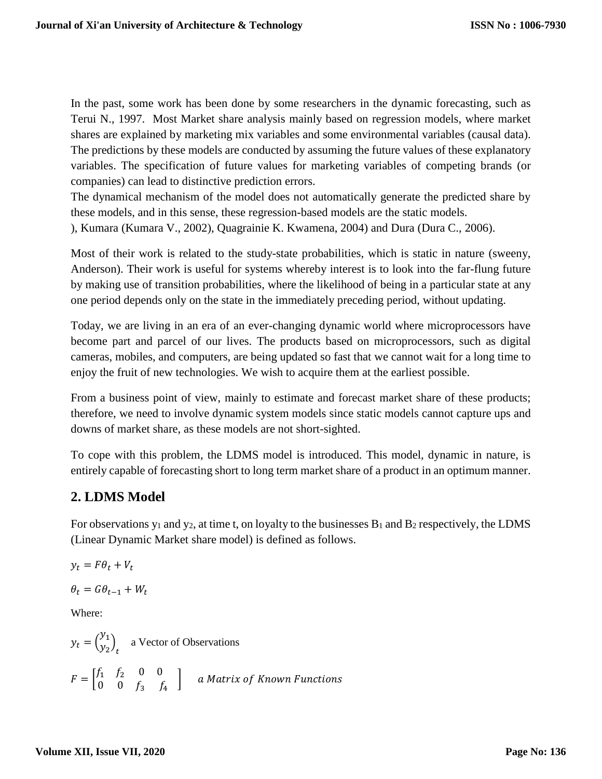In the past, some work has been done by some researchers in the dynamic forecasting, such as Terui N., 1997. Most Market share analysis mainly based on regression models, where market shares are explained by marketing mix variables and some environmental variables (causal data). The predictions by these models are conducted by assuming the future values of these explanatory variables. The specification of future values for marketing variables of competing brands (or companies) can lead to distinctive prediction errors.

The dynamical mechanism of the model does not automatically generate the predicted share by these models, and in this sense, these regression-based models are the static models. ), Kumara (Kumara V., 2002), Quagrainie K. Kwamena, 2004) and Dura (Dura C., 2006).

Most of their work is related to the study-state probabilities, which is static in nature (sweeny, Anderson). Their work is useful for systems whereby interest is to look into the far-flung future by making use of transition probabilities, where the likelihood of being in a particular state at any one period depends only on the state in the immediately preceding period, without updating.

Today, we are living in an era of an ever-changing dynamic world where microprocessors have become part and parcel of our lives. The products based on microprocessors, such as digital cameras, mobiles, and computers, are being updated so fast that we cannot wait for a long time to enjoy the fruit of new technologies. We wish to acquire them at the earliest possible.

From a business point of view, mainly to estimate and forecast market share of these products; therefore, we need to involve dynamic system models since static models cannot capture ups and downs of market share, as these models are not short-sighted.

To cope with this problem, the LDMS model is introduced. This model, dynamic in nature, is entirely capable of forecasting short to long term market share of a product in an optimum manner.

# **2. LDMS Model**

For observations  $y_1$  and  $y_2$ , at time t, on loyalty to the businesses  $B_1$  and  $B_2$  respectively, the LDMS (Linear Dynamic Market share model) is defined as follows.

$$
y_t = F\theta_t + V_t
$$

$$
\theta_t = G\theta_{t-1} + W_t
$$

Where:

$$
y_t = \begin{pmatrix} y_1 \\ y_2 \end{pmatrix}_t
$$
 a Vector of Observations  

$$
F = \begin{bmatrix} f_1 & f_2 & 0 & 0 \\ 0 & 0 & f_3 & f_4 \end{bmatrix}
$$
 a Matrix of Known Functions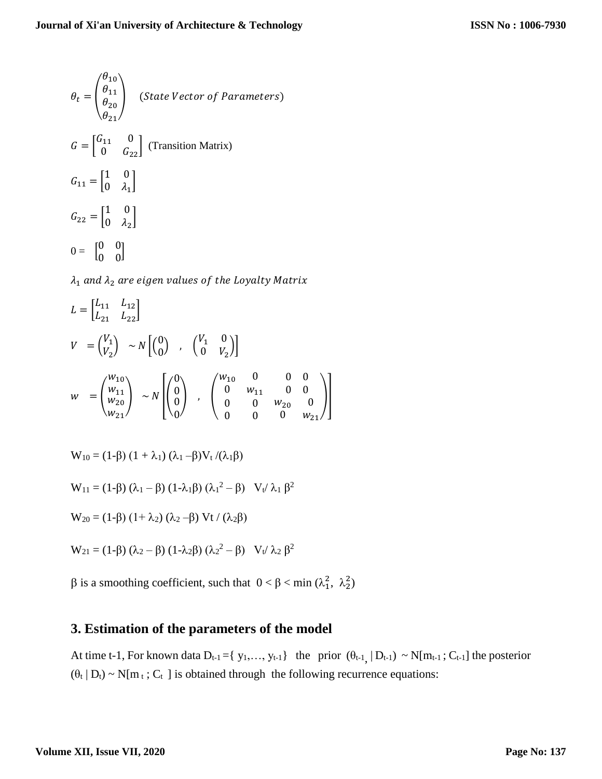$$
\theta_t = \begin{pmatrix} \theta_{10} \\ \theta_{11} \\ \theta_{20} \\ \theta_{21} \end{pmatrix} \quad \text{(State Vector of Parameters)}
$$
\n
$$
G = \begin{bmatrix} G_{11} & 0 \\ 0 & G_{22} \end{bmatrix} \text{(Transition Matrix)}
$$
\n
$$
G_{11} = \begin{bmatrix} 1 & 0 \\ 0 & \lambda_1 \end{bmatrix}
$$
\n
$$
G_{22} = \begin{bmatrix} 1 & 0 \\ 0 & \lambda_2 \end{bmatrix}
$$
\n
$$
0 = \begin{bmatrix} 0 & 0 \\ 0 & 0 \end{bmatrix}
$$

 $\lambda_1$  and  $\lambda_2$  are eigen values of the Loyalty Matrix

$$
L = \begin{bmatrix} L_{11} & L_{12} \\ L_{21} & L_{22} \end{bmatrix}
$$
  
\n
$$
V = \begin{pmatrix} V_1 \\ V_2 \end{pmatrix} \sim N \begin{bmatrix} 0 \\ 0 \end{bmatrix} , \begin{pmatrix} V_1 & 0 \\ 0 & V_2 \end{pmatrix}
$$
  
\n
$$
w = \begin{pmatrix} w_{10} \\ w_{21} \\ w_{21} \end{pmatrix} \sim N \begin{bmatrix} 0 \\ 0 \\ 0 \end{bmatrix} , \begin{pmatrix} w_{10} & 0 & 0 & 0 \\ 0 & w_{11} & 0 & 0 \\ 0 & 0 & w_{20} & 0 \\ 0 & 0 & 0 & w_{21} \end{pmatrix}
$$

$$
W_{10} = (1-\beta) (1 + \lambda_1) (\lambda_1 - \beta) V_t / (\lambda_1 \beta)
$$

$$
W_{11} = (1-\beta) (\lambda_1 - \beta) (1-\lambda_1 \beta) (\lambda_1^2 - \beta) V_t / \lambda_1 \beta^2
$$

$$
W_{20} = (1-\beta) (1+\lambda_2) (\lambda_2-\beta) Vt / (\lambda_2\beta)
$$

$$
W_{21} = (1-\beta) (\lambda_2 - \beta) (1-\lambda_2\beta) (\lambda_2^2 - \beta) V_t / \lambda_2 \beta^2
$$

β is a smoothing coefficient, such that  $0 < \beta < \min (\lambda_1^2, \lambda_2^2)$ 

# **3. Estimation of the parameters of the model**

At time t-1, For known data  $D_{t-1} = \{y_1, ..., y_{t-1}\}$  the prior  $(\theta_{t-1}, | D_{t-1}) \sim N[m_{t-1}; C_{t-1}]$  the posterior  $(\theta_t | D_t) \sim N[m_t; C_t]$  is obtained through the following recurrence equations: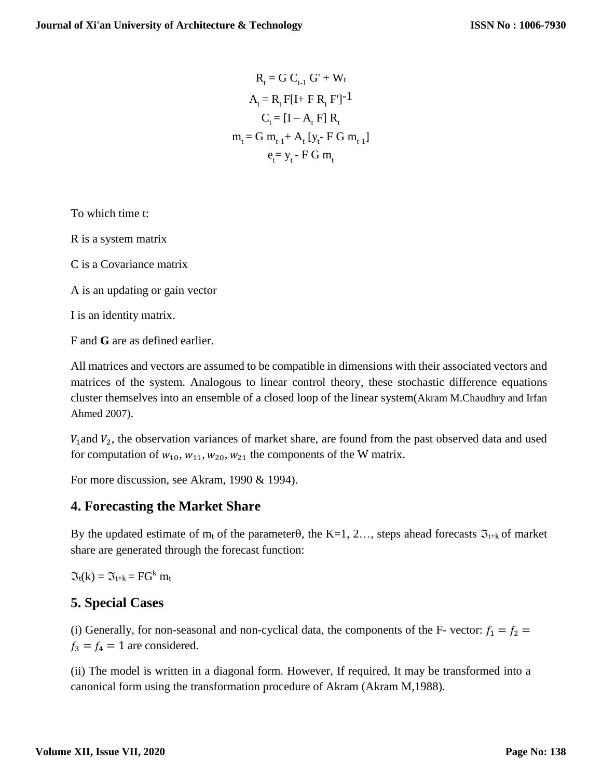$$
R_{t} = G C_{t-1} G' + W_{t}
$$
  
\n
$$
A_{t} = R_{t} F[I + FR_{t} F]^{-1}
$$
  
\n
$$
C_{t} = [I - A_{t} F] R_{t}
$$
  
\n
$$
m_{t} = G m_{t-1} + A_{t} [y_{t} - FG m_{t-1}]
$$
  
\n
$$
e_{t} = y_{t} - FG m_{t}
$$

To which time t:

R is a system matrix

C is a Covariance matrix

A is an updating or gain vector

I is an identity matrix.

F and **G** are as defined earlier.

All matrices and vectors are assumed to be compatible in dimensions with their associated vectors and matrices of the system. Analogous to linear control theory, these stochastic difference equations cluster themselves into an ensemble of a closed loop of the linear system(Akram M.Chaudhry and Irfan Ahmed 2007).

 $V_1$  and  $V_2$ , the observation variances of market share, are found from the past observed data and used for computation of  $w_{10}$ ,  $w_{11}$ ,  $w_{20}$ ,  $w_{21}$  the components of the W matrix.

For more discussion, see Akram, 1990 & 1994).

### **4. Forecasting the Market Share**

By the updated estimate of  $m_t$  of the parameter $\theta$ , the K=1, 2…, steps ahead forecasts  $\mathfrak{I}_{t+k}$  of market share are generated through the forecast function:

 $\mathfrak{I}_t(k) = \mathfrak{I}_{t+k} = FG^k \mathfrak{m}_t$ 

### **5. Special Cases**

(i) Generally, for non-seasonal and non-cyclical data, the components of the F- vector:  $f_1 = f_2$  =  $f_3 = f_4 = 1$  are considered.

(ii) The model is written in a diagonal form. However, If required, It may be transformed into a canonical form using the transformation procedure of Akram (Akram M,1988).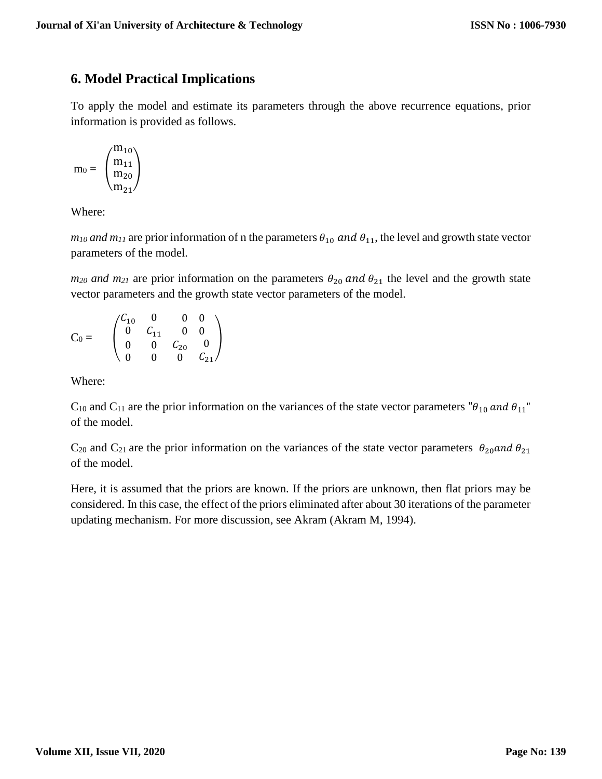## **6. Model Practical Implications**

To apply the model and estimate its parameters through the above recurrence equations, prior information is provided as follows.

$$
m_0=\begin{pmatrix} m_{10} \\ m_{11} \\ m_{20} \\ m_{21} \end{pmatrix}
$$

Where:

 $m_{10}$  *and m<sub>11</sub>* are prior information of n the parameters  $\theta_{10}$  *and*  $\theta_{11}$ , the level and growth state vector parameters of the model.

 $m_{20}$  *and*  $m_{21}$  are prior information on the parameters  $\theta_{20}$  *and*  $\theta_{21}$  the level and the growth state vector parameters and the growth state vector parameters of the model.

$$
C_0=\begin{array}{c}\begin{pmatrix}C_{10}&0&0&0\\0&C_{11}&0&0\\0&0&C_{20}&0\\0&0&0&C_{21}\end{pmatrix}\end{array}
$$

Where:

 $C_{10}$  and  $C_{11}$  are the prior information on the variances of the state vector parameters " $\theta_{10}$  and  $\theta_{11}$ " of the model.

 $C_{20}$  and  $C_{21}$  are the prior information on the variances of the state vector parameters  $\theta_{20}$  and  $\theta_{21}$ of the model.

Here, it is assumed that the priors are known. If the priors are unknown, then flat priors may be considered. In this case, the effect of the priors eliminated after about 30 iterations of the parameter updating mechanism. For more discussion, see Akram (Akram M, 1994).